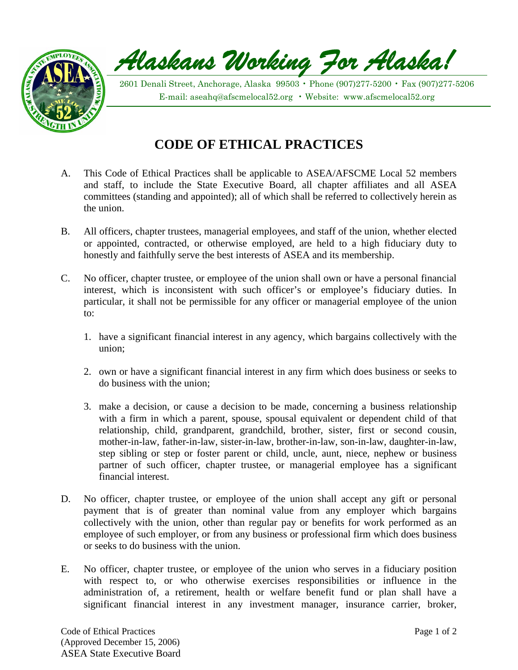

Alaskans Working Jor Alaska!

2601 Denali Street, Anchorage, Alaska 99503 • Phone (907)277-5200 • Fax (907)277-5206 E-mail: [aseahq@afscmelocal52.org](mailto:aseahq@afscmelocal52.org) • Website: www.afscmelocal52.org

## **CODE OF ETHICAL PRACTICES**

- A. This Code of Ethical Practices shall be applicable to ASEA/AFSCME Local 52 members and staff, to include the State Executive Board, all chapter affiliates and all ASEA committees (standing and appointed); all of which shall be referred to collectively herein as the union.
- B. All officers, chapter trustees, managerial employees, and staff of the union, whether elected or appointed, contracted, or otherwise employed, are held to a high fiduciary duty to honestly and faithfully serve the best interests of ASEA and its membership.
- C. No officer, chapter trustee, or employee of the union shall own or have a personal financial interest, which is inconsistent with such officer's or employee's fiduciary duties. In particular, it shall not be permissible for any officer or managerial employee of the union to:
	- 1. have a significant financial interest in any agency, which bargains collectively with the union;
	- 2. own or have a significant financial interest in any firm which does business or seeks to do business with the union;
	- 3. make a decision, or cause a decision to be made, concerning a business relationship with a firm in which a parent, spouse, spousal equivalent or dependent child of that relationship, child, grandparent, grandchild, brother, sister, first or second cousin, mother-in-law, father-in-law, sister-in-law, brother-in-law, son-in-law, daughter-in-law, step sibling or step or foster parent or child, uncle, aunt, niece, nephew or business partner of such officer, chapter trustee, or managerial employee has a significant financial interest.
- D. No officer, chapter trustee, or employee of the union shall accept any gift or personal payment that is of greater than nominal value from any employer which bargains collectively with the union, other than regular pay or benefits for work performed as an employee of such employer, or from any business or professional firm which does business or seeks to do business with the union.
- E. No officer, chapter trustee, or employee of the union who serves in a fiduciary position with respect to, or who otherwise exercises responsibilities or influence in the administration of, a retirement, health or welfare benefit fund or plan shall have a significant financial interest in any investment manager, insurance carrier, broker,